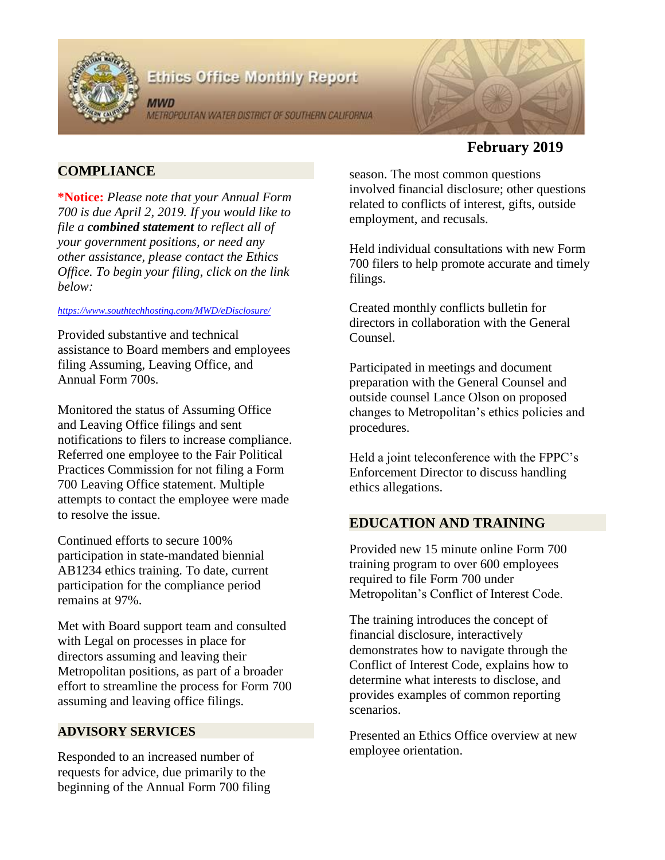

# **Ethics Office Monthly Report**

**MWD** METROPOLITAN WATER DISTRICT OF SOUTHERN CALIFORNIA



# **February 2019**

# **COMPLIANCE**

**\*Notice:** *Please note that your Annual Form 700 is due April 2, 2019. If you would like to file a combined statement to reflect all of your government positions, or need any other assistance, please contact the Ethics Office. To begin your filing, click on the link below:* 

#### *<https://www.southtechhosting.com/MWD/eDisclosure/>*

Provided substantive and technical assistance to Board members and employees filing Assuming, Leaving Office, and Annual Form 700s.

Monitored the status of Assuming Office and Leaving Office filings and sent notifications to filers to increase compliance. Referred one employee to the Fair Political Practices Commission for not filing a Form 700 Leaving Office statement. Multiple attempts to contact the employee were made to resolve the issue.

Continued efforts to secure 100% participation in state-mandated biennial AB1234 ethics training. To date, current participation for the compliance period remains at 97%.

Met with Board support team and consulted with Legal on processes in place for directors assuming and leaving their Metropolitan positions, as part of a broader effort to streamline the process for Form 700 assuming and leaving office filings.

### **ADVISORY SERVICES**

Responded to an increased number of requests for advice, due primarily to the beginning of the Annual Form 700 filing season. The most common questions involved financial disclosure; other questions related to conflicts of interest, gifts, outside employment, and recusals.

Held individual consultations with new Form 700 filers to help promote accurate and timely filings.

Created monthly conflicts bulletin for directors in collaboration with the General Counsel.

Participated in meetings and document preparation with the General Counsel and outside counsel Lance Olson on proposed changes to Metropolitan's ethics policies and procedures.

Held a joint teleconference with the FPPC's Enforcement Director to discuss handling ethics allegations.

## **EDUCATION AND TRAINING**

Provided new 15 minute online Form 700 training program to over 600 employees required to file Form 700 under Metropolitan's Conflict of Interest Code.

The training introduces the concept of financial disclosure, interactively demonstrates how to navigate through the Conflict of Interest Code, explains how to determine what interests to disclose, and provides examples of common reporting scenarios.

Presented an Ethics Office overview at new employee orientation.